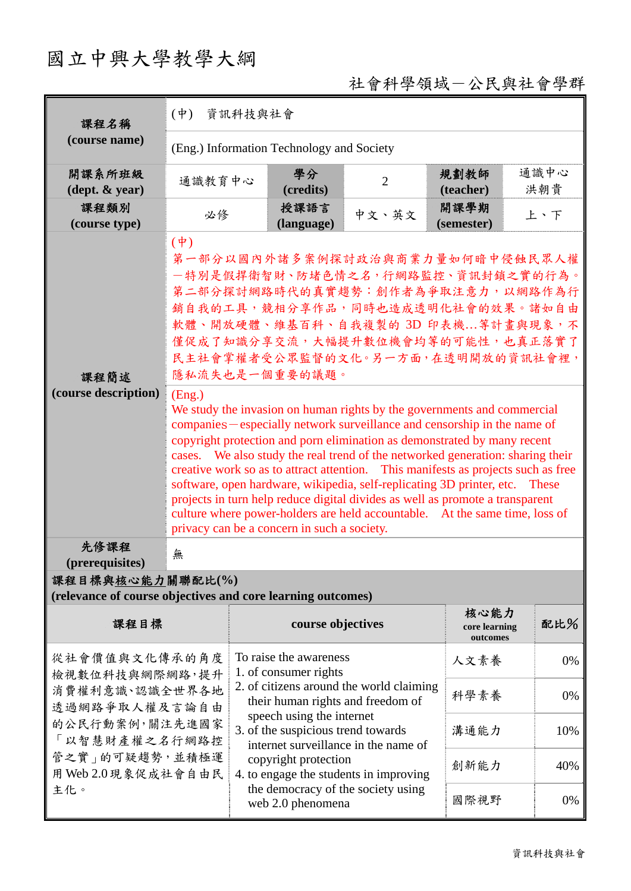## 國立中興大學教學大綱

## 社會科學領域-公民與社會學群

| 課程名稱                                                                                                                                           | $(\Psi)$<br>資訊科技與社會                                                                                                                                                                                                                                                                                                                                                                                                                                                                                                                                                                                                                                                                                                                                                                                                                                                                 |                                                                                                                                                                                                                                                                                                               |                    |                                    |                                   |             |  |  |  |
|------------------------------------------------------------------------------------------------------------------------------------------------|-------------------------------------------------------------------------------------------------------------------------------------------------------------------------------------------------------------------------------------------------------------------------------------------------------------------------------------------------------------------------------------------------------------------------------------------------------------------------------------------------------------------------------------------------------------------------------------------------------------------------------------------------------------------------------------------------------------------------------------------------------------------------------------------------------------------------------------------------------------------------------------|---------------------------------------------------------------------------------------------------------------------------------------------------------------------------------------------------------------------------------------------------------------------------------------------------------------|--------------------|------------------------------------|-----------------------------------|-------------|--|--|--|
| (course name)                                                                                                                                  | (Eng.) Information Technology and Society                                                                                                                                                                                                                                                                                                                                                                                                                                                                                                                                                                                                                                                                                                                                                                                                                                           |                                                                                                                                                                                                                                                                                                               |                    |                                    |                                   |             |  |  |  |
| 開課系所班級<br>$(\text{dept.} \& \text{ year})$                                                                                                     | 通識教育中心                                                                                                                                                                                                                                                                                                                                                                                                                                                                                                                                                                                                                                                                                                                                                                                                                                                                              |                                                                                                                                                                                                                                                                                                               | 學分<br>(credits)    | $\overline{2}$                     | 規劃教師<br>(teacher)                 | 通識中心<br>洪朝貴 |  |  |  |
| 課程類別<br>(course type)                                                                                                                          | 必修                                                                                                                                                                                                                                                                                                                                                                                                                                                                                                                                                                                                                                                                                                                                                                                                                                                                                  |                                                                                                                                                                                                                                                                                                               | 授課語言<br>(language) | 中文、英文                              | 開課學期<br>(semester)                | 上、下         |  |  |  |
| 課程簡述<br>(course description)                                                                                                                   | $(\dot{\Psi})$<br>第一部分以國內外諸多案例探討政治與商業力量如何暗中侵蝕民眾人權<br>一特別是假捍衛智財、防堵色情之名,行網路監控、資訊封鎖之實的行為。<br>第二部分探討網路時代的真實趨勢:創作者為爭取注意力,以網路作為行<br>銷自我的工具,競相分享作品,同時也造成透明化社會的效果。諸如自由<br>軟體、開放硬體、維基百科、自我複製的 3D 印表機等計畫與現象,不<br>僅促成了知識分享交流,大幅提升數位機會均等的可能性,也真正落實了<br>民主社會掌權者受公眾監督的文化。另一方面,在透明開放的資訊社會裡,<br>隱私流失也是一個重要的議題。<br>(Eng.)<br>We study the invasion on human rights by the governments and commercial<br>companies – especially network surveillance and censorship in the name of<br>copyright protection and porn elimination as demonstrated by many recent<br>cases. We also study the real trend of the networked generation: sharing their<br>creative work so as to attract attention. This manifests as projects such as free<br>software, open hardware, wikipedia, self-replicating 3D printer, etc. These<br>projects in turn help reduce digital divides as well as promote a transparent |                                                                                                                                                                                                                                                                                                               |                    |                                    |                                   |             |  |  |  |
| 先修課程                                                                                                                                           | culture where power-holders are held accountable. At the same time, loss of<br>privacy can be a concern in such a society.                                                                                                                                                                                                                                                                                                                                                                                                                                                                                                                                                                                                                                                                                                                                                          |                                                                                                                                                                                                                                                                                                               |                    |                                    |                                   |             |  |  |  |
| (prerequisites)                                                                                                                                | 無                                                                                                                                                                                                                                                                                                                                                                                                                                                                                                                                                                                                                                                                                                                                                                                                                                                                                   |                                                                                                                                                                                                                                                                                                               |                    |                                    |                                   |             |  |  |  |
| 課程目標與核心能力關聯配比(%)<br>(relevance of course objectives and core learning outcomes)                                                                |                                                                                                                                                                                                                                                                                                                                                                                                                                                                                                                                                                                                                                                                                                                                                                                                                                                                                     |                                                                                                                                                                                                                                                                                                               |                    |                                    |                                   |             |  |  |  |
| 課程目標                                                                                                                                           |                                                                                                                                                                                                                                                                                                                                                                                                                                                                                                                                                                                                                                                                                                                                                                                                                                                                                     |                                                                                                                                                                                                                                                                                                               | course objectives  |                                    | 核心能力<br>core learning<br>outcomes | 配比%         |  |  |  |
| 從社會價值與文化傳承的角度<br>檢視數位科技與網際網路,提升<br>消費權利意識、認識全世界各地<br>透過網路爭取人權及言論自由<br>的公民行動案例,關注先進國家<br>「以智慧財產權之名行網路控<br>管之實」的可疑趨勢,並積極運<br>用 Web 2.0 現象促成社會自由民 |                                                                                                                                                                                                                                                                                                                                                                                                                                                                                                                                                                                                                                                                                                                                                                                                                                                                                     | To raise the awareness<br>1. of consumer rights<br>2. of citizens around the world claiming<br>their human rights and freedom of<br>speech using the internet<br>3. of the suspicious trend towards<br>internet surveillance in the name of<br>copyright protection<br>4. to engage the students in improving |                    |                                    | 人文素養                              | 0%          |  |  |  |
|                                                                                                                                                |                                                                                                                                                                                                                                                                                                                                                                                                                                                                                                                                                                                                                                                                                                                                                                                                                                                                                     |                                                                                                                                                                                                                                                                                                               |                    |                                    | 科學素養                              | 0%          |  |  |  |
|                                                                                                                                                |                                                                                                                                                                                                                                                                                                                                                                                                                                                                                                                                                                                                                                                                                                                                                                                                                                                                                     |                                                                                                                                                                                                                                                                                                               |                    |                                    | 溝通能力                              | 10%         |  |  |  |
|                                                                                                                                                |                                                                                                                                                                                                                                                                                                                                                                                                                                                                                                                                                                                                                                                                                                                                                                                                                                                                                     |                                                                                                                                                                                                                                                                                                               |                    |                                    | 創新能力                              | 40%         |  |  |  |
| 主化。                                                                                                                                            |                                                                                                                                                                                                                                                                                                                                                                                                                                                                                                                                                                                                                                                                                                                                                                                                                                                                                     |                                                                                                                                                                                                                                                                                                               | web 2.0 phenomena  | the democracy of the society using | 國際視野                              | 0%          |  |  |  |